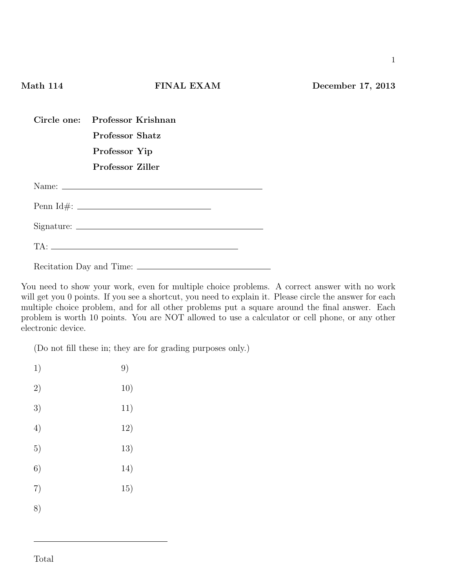| Circle one: Professor Krishnan |
|--------------------------------|
| Professor Shatz                |
| Professor Yip                  |
| Professor Ziller               |
|                                |
|                                |
| $Sigma: \_$                    |
|                                |

Recitation Day and Time:

You need to show your work, even for multiple choice problems. A correct answer with no work will get you 0 points. If you see a shortcut, you need to explain it. Please circle the answer for each multiple choice problem, and for all other problems put a square around the final answer. Each problem is worth 10 points. You are NOT allowed to use a calculator or cell phone, or any other electronic device.

(Do not fill these in; they are for grading purposes only.)

| 1) | 9)  |
|----|-----|
| 2) | 10) |
| 3) | 11) |
| 4) | 12) |
| 5) | 13) |
| 6) | 14) |
| 7) | 15) |
| 8) |     |
|    |     |

1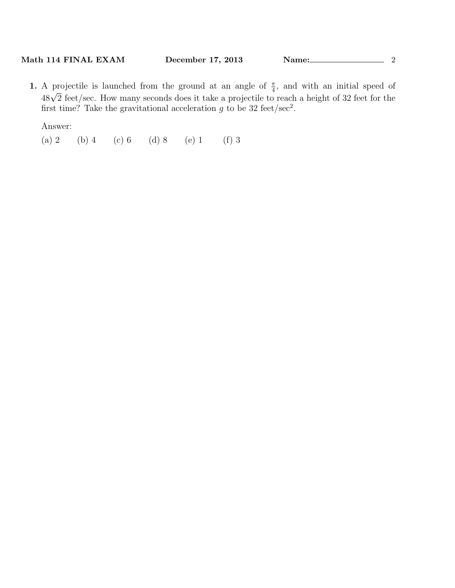**1.** A projectile is launched from the ground at an angle of  $\frac{\pi}{4}$ , and with an initial speed of 48*<sup>√</sup>* 2 feet/sec. How many seconds does it take a projectile to reach a height of 32 feet for the first time? Take the gravitational acceleration  $g$  to be 32 feet/sec<sup>2</sup>.

Answer:

(a) 2 (b) 4 (c) 6 (d) 8 (e) 1 (f) 3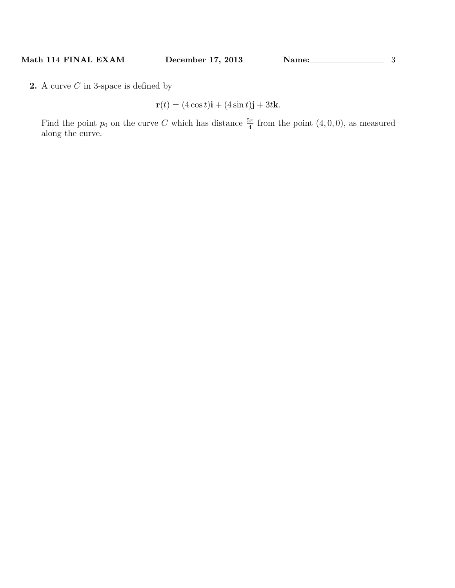**2.** A curve *C* in 3-space is defined by

$$
\mathbf{r}(t) = (4\cos t)\mathbf{i} + (4\sin t)\mathbf{j} + 3t\mathbf{k}.
$$

Find the point  $p_0$  on the curve *C* which has distance  $\frac{5\pi}{4}$  from the point  $(4, 0, 0)$ , as measured along the curve.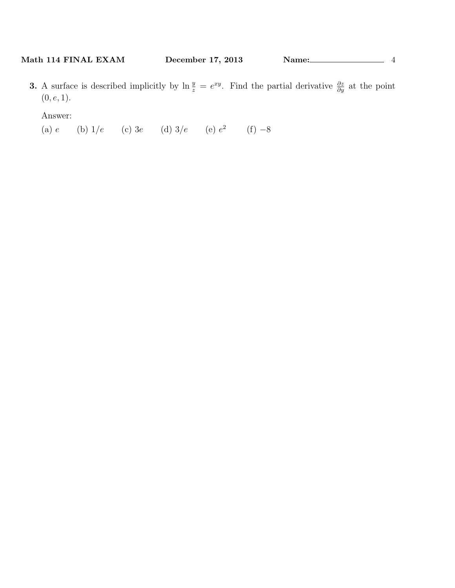**3.** A surface is described implicitly by  $\ln \frac{y}{z} = e^{xy}$ . Find the partial derivative  $\frac{\partial z}{\partial y}$  at the point (0*, e,* 1).

Answer:

(a) *e* (b) 1*/e* (c) 3*e* (d) 3*/e* (e) *e* 2 (f) *−*8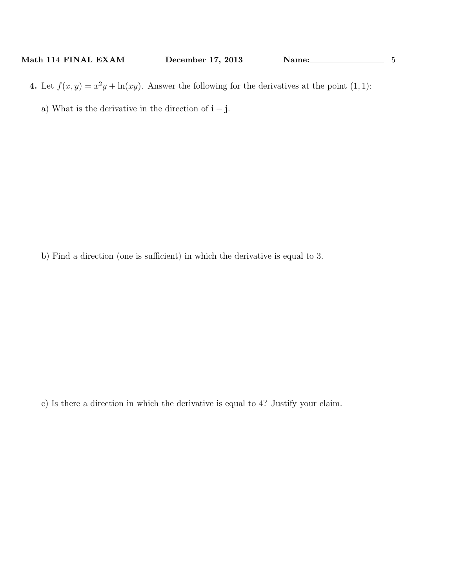**4.** Let  $f(x, y) = x^2y + \ln(xy)$ . Answer the following for the derivatives at the point (1, 1):

a) What is the derivative in the direction of **i** *−* **j**.

b) Find a direction (one is sufficient) in which the derivative is equal to 3.

c) Is there a direction in which the derivative is equal to 4? Justify your claim.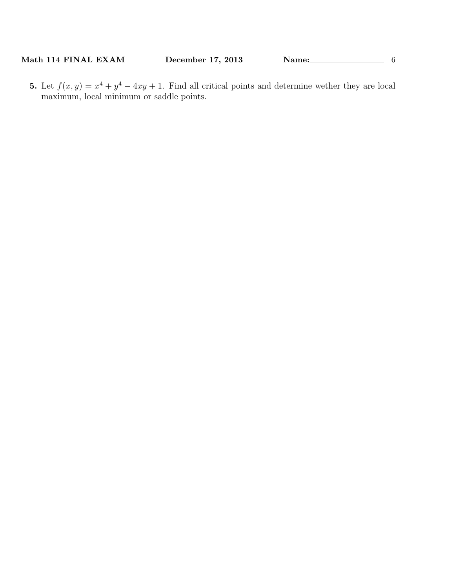**Math 114 FINAL EXAM December 17, 2013 Name:** 6

**5.** Let  $f(x, y) = x^4 + y^4 - 4xy + 1$ . Find all critical points and determine wether they are local maximum, local minimum or saddle points.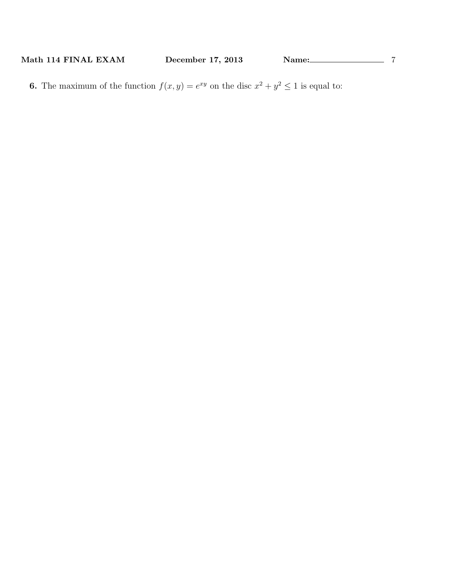**6.** The maximum of the function  $f(x, y) = e^{xy}$  on the disc  $x^2 + y^2 \le 1$  is equal to: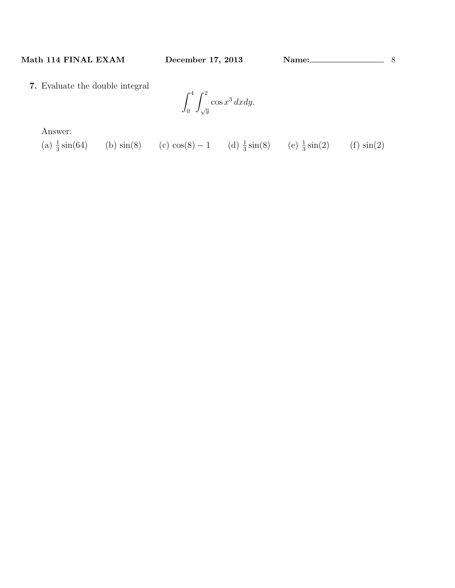**7.** Evaluate the double integral

$$
\int_0^4 \int_{\sqrt{y}}^2 \cos x^3 \, dx dy.
$$

Answer:

(a)  $\frac{1}{3}\sin(64)$  (b)  $\sin(8)$  (c)  $\cos(8) - 1$  (d)  $\frac{1}{3}\sin(8)$  (e)  $\frac{1}{3}\sin(2)$  (f)  $\sin(2)$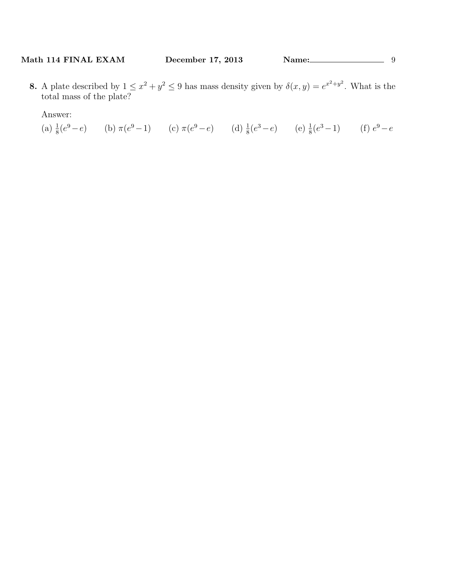**8.** A plate described by  $1 \leq x^2 + y^2 \leq 9$  has mass density given by  $\delta(x, y) = e^{x^2 + y^2}$ . What is the total mass of the plate?

Answer:

(a)  $\frac{1}{8}(e^9 - e)$  (b)  $\pi(e^9 - 1)$  (c)  $\pi(e^9 - e)$  (d)  $\frac{1}{8}(e^3 - e)$  (e)  $\frac{1}{8}(e^3 - 1)$  (f)  $e^9 - e$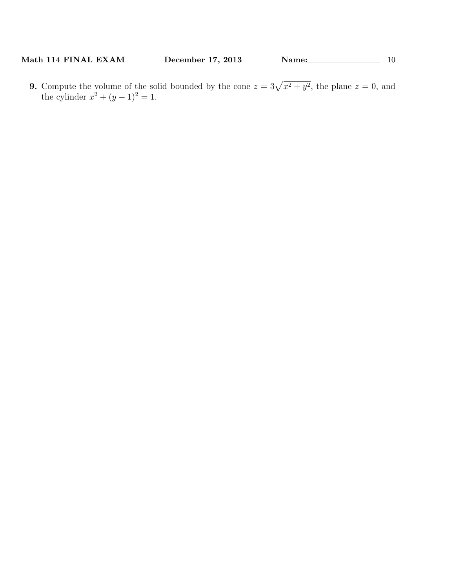**9.** Compute the volume of the solid bounded by the cone  $z = 3\sqrt{x^2 + y^2}$ , the plane  $z = 0$ , and the cylinder  $x^2 + (y - 1)^2 = 1$ .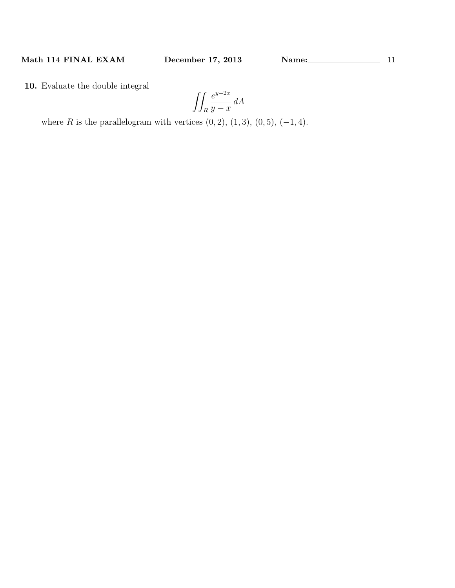**10.** Evaluate the double integral

$$
\iint_R \frac{e^{y+2x}}{y-x} dA
$$

where *R* is the parallelogram with vertices  $(0, 2)$ ,  $(1, 3)$ ,  $(0, 5)$ ,  $(-1, 4)$ .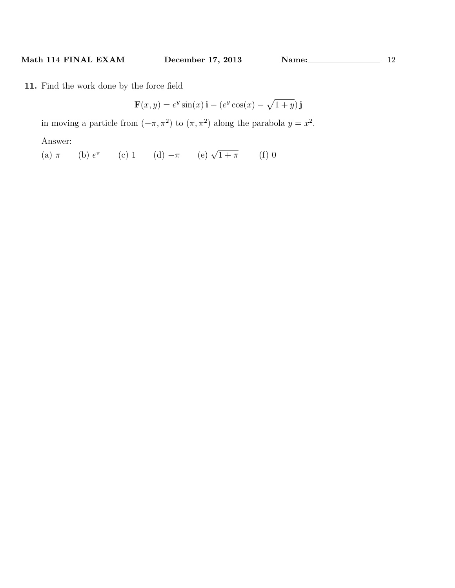**11.** Find the work done by the force field

 $$ 

in moving a particle from  $(-\pi, \pi^2)$  to  $(\pi, \pi^2)$  along the parabola  $y = x^2$ .

Answer:

(a)  $\pi$  (b)  $e^{\pi}$  (c) 1 (d)  $-\pi$  (e)  $\sqrt{1+\pi}$  (f) 0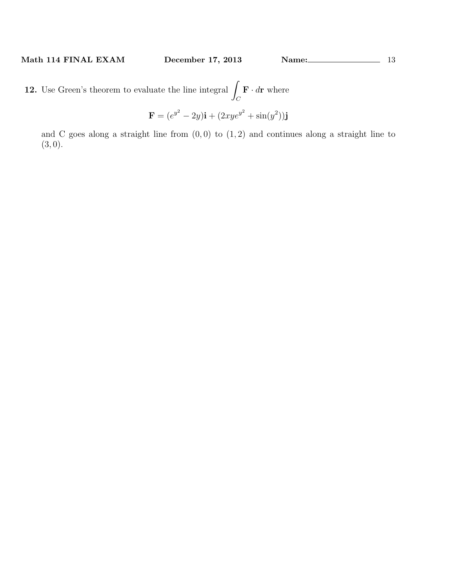**12.** Use Green's theorem to evaluate the line integral ∫  $\int_C$  **F** *· d***r** where

$$
\mathbf{F} = (e^{y^2} - 2y)\mathbf{i} + (2xye^{y^2} + \sin(y^2))\mathbf{j}
$$

and C goes along a straight line from (0*,* 0) to (1*,* 2) and continues along a straight line to (3*,* 0).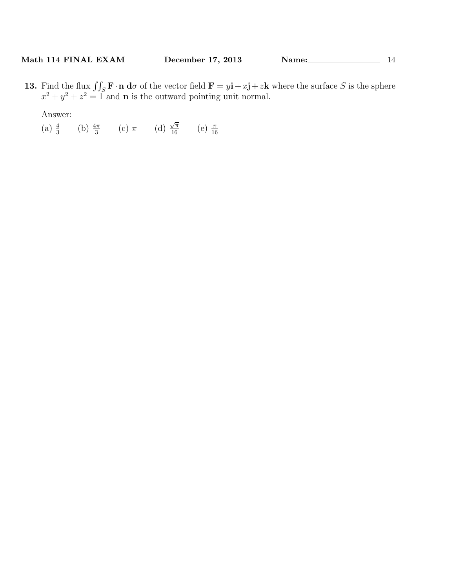**13.** Find the flux  $\iint_S \mathbf{F} \cdot \mathbf{n} d\sigma$  of the vector field  $\mathbf{F} = y\mathbf{i} + x\mathbf{j} + z\mathbf{k}$  where the surface *S* is the sphere  $x^2 + y^2 + z^2 = 1$  and **n** is the outward pointing unit normal.

Answer:

(a)  $\frac{4}{3}$  (b)  $\frac{4\pi}{3}$  (c)  $\pi$  (d)  $\frac{\sqrt{\pi}}{16}$  (e)  $\frac{\pi}{16}$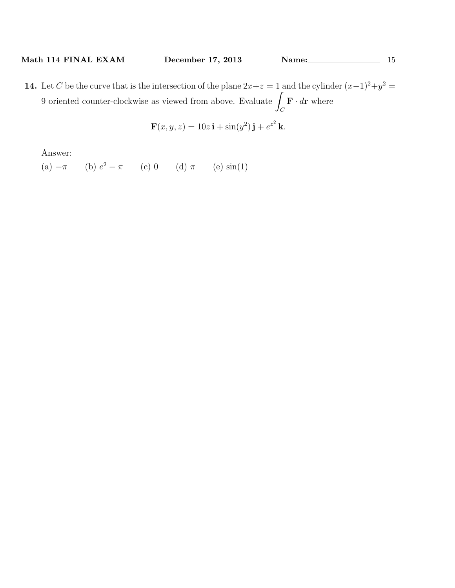**14.** Let *C* be the curve that is the intersection of the plane  $2x+z=1$  and the cylinder  $(x-1)^2+y^2=$ 9 oriented counter-clockwise as viewed from above. Evaluate <sup>∫</sup>  $\int_C$  **F** *· d***r** where

$$
\mathbf{F}(x, y, z) = 10z \,\mathbf{i} + \sin(y^2) \,\mathbf{j} + e^{z^2} \,\mathbf{k}.
$$

Answer:

 $(a) -\pi$ (b)  $e^2 - \pi$  (c) 0 (d)  $\pi$  (e) sin(1)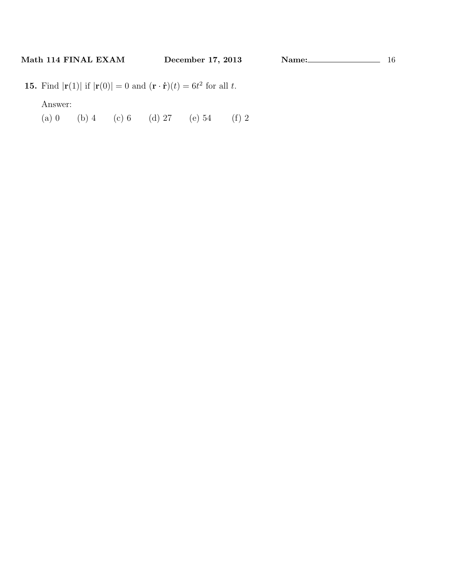**15.** Find  $|\mathbf{r}(1)|$  if  $|\mathbf{r}(0)| = 0$  and  $(\mathbf{r} \cdot \dot{\mathbf{r}})(t) = 6t^2$  for all *t*.

Answer:

(a) 0 (b) 4 (c) 6 (d) 27 (e) 54 (f) 2